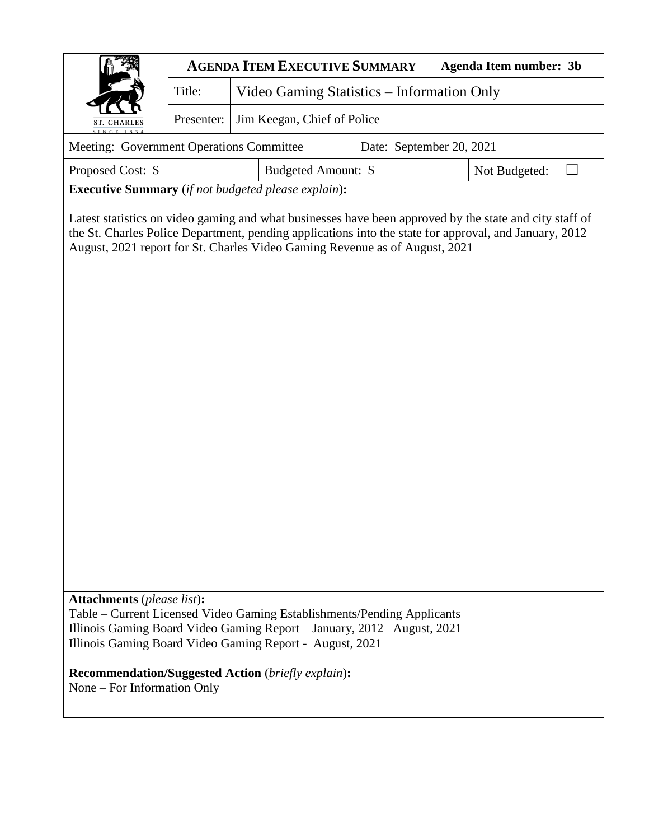|                                                                                                                                                                                                                                                                                                                                         | <b>AGENDA ITEM EXECUTIVE SUMMARY</b>                 | <b>Agenda Item number: 3b</b> |  |  |  |  |  |  |  |  |
|-----------------------------------------------------------------------------------------------------------------------------------------------------------------------------------------------------------------------------------------------------------------------------------------------------------------------------------------|------------------------------------------------------|-------------------------------|--|--|--|--|--|--|--|--|
|                                                                                                                                                                                                                                                                                                                                         | Title:<br>Video Gaming Statistics – Information Only |                               |  |  |  |  |  |  |  |  |
| ST. CHARLES                                                                                                                                                                                                                                                                                                                             | Jim Keegan, Chief of Police<br>Presenter:            |                               |  |  |  |  |  |  |  |  |
| Meeting: Government Operations Committee<br>Date: September 20, 2021                                                                                                                                                                                                                                                                    |                                                      |                               |  |  |  |  |  |  |  |  |
| Proposed Cost: \$<br>Budgeted Amount: \$<br>Not Budgeted:                                                                                                                                                                                                                                                                               |                                                      |                               |  |  |  |  |  |  |  |  |
| <b>Executive Summary</b> (if not budgeted please explain):                                                                                                                                                                                                                                                                              |                                                      |                               |  |  |  |  |  |  |  |  |
| Latest statistics on video gaming and what businesses have been approved by the state and city staff of<br>the St. Charles Police Department, pending applications into the state for approval, and January, 2012 –<br>August, 2021 report for St. Charles Video Gaming Revenue as of August, 2021<br><b>Attachments</b> (please list): |                                                      |                               |  |  |  |  |  |  |  |  |
| Table – Current Licensed Video Gaming Establishments/Pending Applicants<br>Illinois Gaming Board Video Gaming Report - January, 2012 - August, 2021<br>Illinois Gaming Board Video Gaming Report - August, 2021                                                                                                                         |                                                      |                               |  |  |  |  |  |  |  |  |
| <b>Recommendation/Suggested Action</b> (briefly explain):<br>None – For Information Only                                                                                                                                                                                                                                                |                                                      |                               |  |  |  |  |  |  |  |  |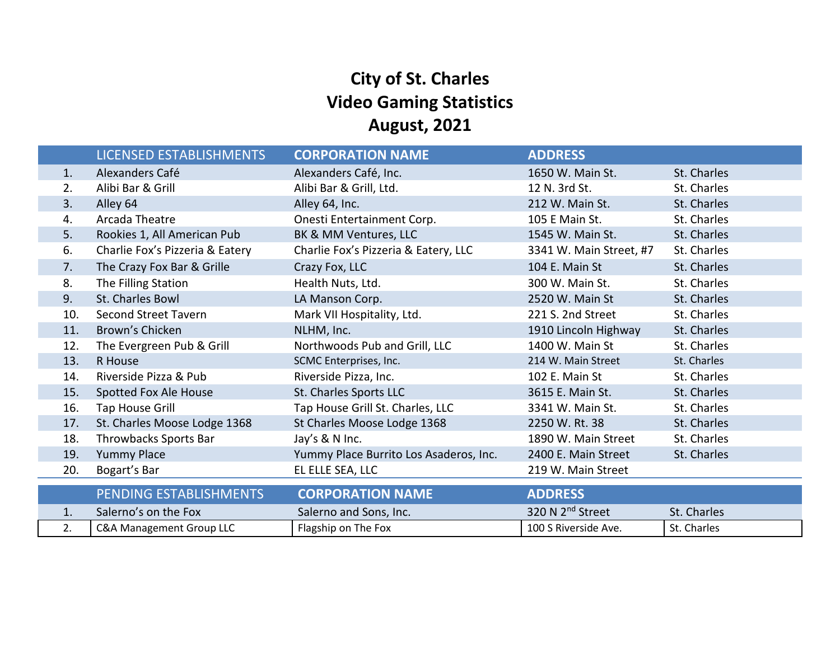# **City of St. Charles Video Gaming Statistics August, 2021**

|     | LICENSED ESTABLISHMENTS         | <b>CORPORATION NAME</b>                | <b>ADDRESS</b>               |             |
|-----|---------------------------------|----------------------------------------|------------------------------|-------------|
| 1.  | Alexanders Café                 | Alexanders Café, Inc.                  | 1650 W. Main St.             | St. Charles |
| 2.  | Alibi Bar & Grill               | Alibi Bar & Grill, Ltd.                | 12 N. 3rd St.                | St. Charles |
| 3.  | Alley 64                        | Alley 64, Inc.                         | 212 W. Main St.              | St. Charles |
| 4.  | Arcada Theatre                  | Onesti Entertainment Corp.             | 105 E Main St.               | St. Charles |
| 5.  | Rookies 1, All American Pub     | BK & MM Ventures, LLC                  | 1545 W. Main St.             | St. Charles |
| 6.  | Charlie Fox's Pizzeria & Eatery | Charlie Fox's Pizzeria & Eatery, LLC   | 3341 W. Main Street, #7      | St. Charles |
| 7.  | The Crazy Fox Bar & Grille      | Crazy Fox, LLC                         | 104 E. Main St               | St. Charles |
| 8.  | The Filling Station             | Health Nuts, Ltd.                      | 300 W. Main St.              | St. Charles |
| 9.  | St. Charles Bowl                | LA Manson Corp.                        | 2520 W. Main St              | St. Charles |
| 10. | <b>Second Street Tavern</b>     | Mark VII Hospitality, Ltd.             | 221 S. 2nd Street            | St. Charles |
| 11. | Brown's Chicken                 | NLHM, Inc.                             | 1910 Lincoln Highway         | St. Charles |
| 12. | The Evergreen Pub & Grill       | Northwoods Pub and Grill, LLC          | 1400 W. Main St              | St. Charles |
| 13. | R House                         | SCMC Enterprises, Inc.                 | 214 W. Main Street           | St. Charles |
| 14. | Riverside Pizza & Pub           | Riverside Pizza, Inc.                  | 102 E. Main St               | St. Charles |
| 15. | Spotted Fox Ale House           | St. Charles Sports LLC                 | 3615 E. Main St.             | St. Charles |
| 16. | Tap House Grill                 | Tap House Grill St. Charles, LLC       | 3341 W. Main St.             | St. Charles |
| 17. | St. Charles Moose Lodge 1368    | St Charles Moose Lodge 1368            | 2250 W. Rt. 38               | St. Charles |
| 18. | Throwbacks Sports Bar           | Jay's & N Inc.                         | 1890 W. Main Street          | St. Charles |
| 19. | <b>Yummy Place</b>              | Yummy Place Burrito Los Asaderos, Inc. | 2400 E. Main Street          | St. Charles |
| 20. | Bogart's Bar                    | EL ELLE SEA, LLC                       | 219 W. Main Street           |             |
|     | PENDING ESTABLISHMENTS          | <b>CORPORATION NAME</b>                | <b>ADDRESS</b>               |             |
| 1.  | Salerno's on the Fox            | Salerno and Sons, Inc.                 | 320 N 2 <sup>nd</sup> Street | St. Charles |
| 2.  | C&A Management Group LLC        | Flagship on The Fox                    | 100 S Riverside Ave.         | St. Charles |
|     |                                 |                                        |                              |             |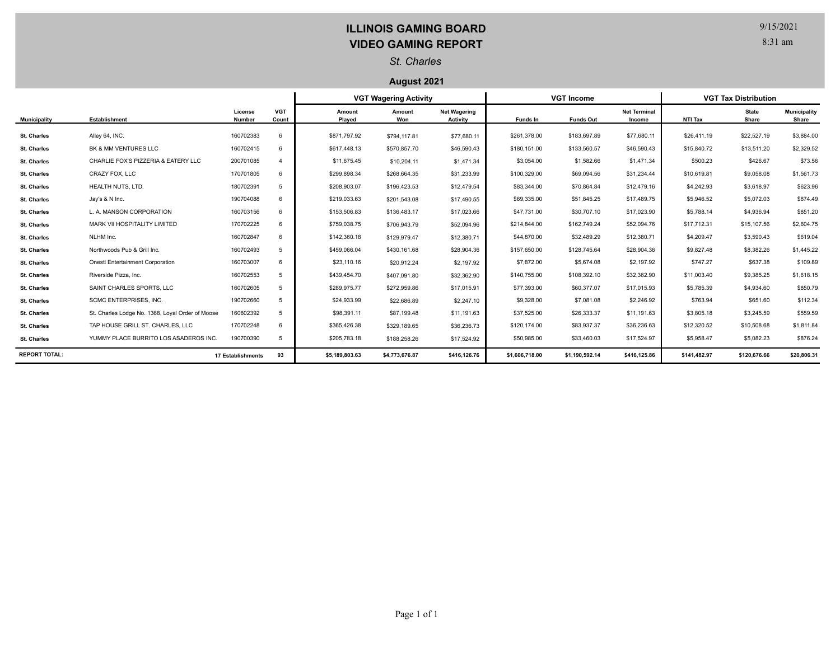## **ILLINOIS GAMING BOARD VIDEO GAMING REPORT**

9/15/2021

8:31 am

### *St. Charles*

#### **August 2021**

|                      |                                                  |                          |                     | <b>VGT Wagering Activity</b> |                |                                        | <b>VGT Income</b> |                  |                               | <b>VGT Tax Distribution</b> |                       |                              |
|----------------------|--------------------------------------------------|--------------------------|---------------------|------------------------------|----------------|----------------------------------------|-------------------|------------------|-------------------------------|-----------------------------|-----------------------|------------------------------|
| <b>Municipality</b>  | Establishment                                    | License<br>Number        | <b>VGT</b><br>Count | Amount<br>Played             | Amount<br>Won  | <b>Net Wagering</b><br><b>Activity</b> | Funds In          | <b>Funds Out</b> | <b>Net Terminal</b><br>Income | NTI Tax                     | <b>State</b><br>Share | <b>Municipality</b><br>Share |
| <b>St. Charles</b>   | Alley 64, INC.                                   | 160702383                | 6                   | \$871,797.92                 | \$794,117.81   | \$77,680.11                            | \$261,378.00      | \$183,697.89     | \$77,680.11                   | \$26,411.19                 | \$22,527.19           | \$3,884.00                   |
| <b>St. Charles</b>   | BK & MM VENTURES LLC                             | 160702415                | 6                   | \$617,448.13                 | \$570,857.70   | \$46,590.43                            | \$180,151.00      | \$133,560.57     | \$46,590.43                   | \$15,840.72                 | \$13,511.20           | \$2,329.52                   |
| <b>St. Charles</b>   | CHARLIE FOX'S PIZZERIA & EATERY LLC              | 200701085                | $\overline{4}$      | \$11,675.45                  | \$10,204.11    | \$1,471.34                             | \$3,054.00        | \$1,582.66       | \$1,471.34                    | \$500.23                    | \$426.67              | \$73.56                      |
| <b>St. Charles</b>   | CRAZY FOX. LLC                                   | 170701805                | 6                   | \$299,898.34                 | \$268,664.35   | \$31,233.99                            | \$100,329.00      | \$69,094.56      | \$31,234.44                   | \$10,619.81                 | \$9,058.08            | \$1,561.73                   |
| <b>St. Charles</b>   | HEALTH NUTS, LTD.                                | 180702391                | 5                   | \$208,903.07                 | \$196,423.53   | \$12,479.54                            | \$83,344.00       | \$70,864.84      | \$12,479.16                   | \$4,242.93                  | \$3,618.97            | \$623.96                     |
| <b>St. Charles</b>   | Jay's & N Inc.                                   | 190704088                | 6                   | \$219,033.63                 | \$201,543.08   | \$17,490.55                            | \$69,335.00       | \$51,845.25      | \$17,489.75                   | \$5,946.52                  | \$5,072.03            | \$874.49                     |
| <b>St. Charles</b>   | L. A. MANSON CORPORATION                         | 160703156                | 6                   | \$153,506.83                 | \$136,483.17   | \$17,023.66                            | \$47,731.00       | \$30,707.10      | \$17,023.90                   | \$5,788.14                  | \$4,936.94            | \$851.20                     |
| St. Charles          | MARK VII HOSPITALITY LIMITED                     | 170702225                | 6                   | \$759,038.75                 | \$706,943.79   | \$52,094.96                            | \$214,844.00      | \$162,749.24     | \$52,094.76                   | \$17,712.31                 | \$15,107.56           | \$2,604.75                   |
| <b>St. Charles</b>   | NLHM Inc.                                        | 160702847                | 6                   | \$142,360.18                 | \$129,979.47   | \$12,380.71                            | \$44,870.00       | \$32,489.29      | \$12,380.71                   | \$4,209.47                  | \$3,590.43            | \$619.04                     |
| <b>St. Charles</b>   | Northwoods Pub & Grill Inc.                      | 160702493                | 5                   | \$459,066.04                 | \$430,161.68   | \$28,904.36                            | \$157,650.00      | \$128,745.64     | \$28,904.36                   | \$9,827.48                  | \$8,382.26            | \$1,445.22                   |
| <b>St. Charles</b>   | Onesti Entertainment Corporation                 | 160703007                | 6                   | \$23,110.16                  | \$20,912.24    | \$2,197.92                             | \$7,872.00        | \$5,674.08       | \$2,197.92                    | \$747.27                    | \$637.38              | \$109.89                     |
| <b>St. Charles</b>   | Riverside Pizza, Inc.                            | 160702553                |                     | \$439,454.70                 | \$407,091.80   | \$32,362.90                            | \$140,755.00      | \$108,392.10     | \$32,362.90                   | \$11,003.40                 | \$9,385.25            | \$1,618.15                   |
| <b>St. Charles</b>   | SAINT CHARLES SPORTS. LLC                        | 160702605                | 5                   | \$289,975.77                 | \$272,959.86   | \$17,015.91                            | \$77,393.00       | \$60,377.07      | \$17,015.93                   | \$5,785.39                  | \$4,934.60            | \$850.79                     |
| <b>St. Charles</b>   | SCMC ENTERPRISES, INC.                           | 190702660                | 5                   | \$24,933.99                  | \$22,686.89    | \$2,247.10                             | \$9,328.00        | \$7,081.08       | \$2,246.92                    | \$763.94                    | \$651.60              | \$112.34                     |
| <b>St. Charles</b>   | St. Charles Lodge No. 1368, Loyal Order of Moose | 160802392                | 5                   | \$98,391.11                  | \$87,199.48    | \$11,191.63                            | \$37,525.00       | \$26,333.37      | \$11,191.63                   | \$3,805.18                  | \$3,245.59            | \$559.59                     |
| <b>St. Charles</b>   | TAP HOUSE GRILL ST. CHARLES, LLC                 | 170702248                |                     | \$365,426.38                 | \$329,189.65   | \$36,236.73                            | \$120,174.00      | \$83,937.37      | \$36,236.63                   | \$12,320.52                 | \$10,508.68           | \$1,811.84                   |
| <b>St. Charles</b>   | YUMMY PLACE BURRITO LOS ASADEROS INC.            | 190700390                | 5                   | \$205,783.18                 | \$188,258.26   | \$17,524.92                            | \$50,985.00       | \$33,460.03      | \$17,524.97                   | \$5,958.47                  | \$5,082.23            | \$876.24                     |
| <b>REPORT TOTAL:</b> |                                                  | <b>17 Establishments</b> | 93                  | \$5,189,803.63               | \$4,773,676.87 | \$416,126.76                           | \$1,606,718.00    | \$1,190,592.14   | \$416,125.86                  | \$141,482.97                | \$120,676.66          | \$20,806.31                  |